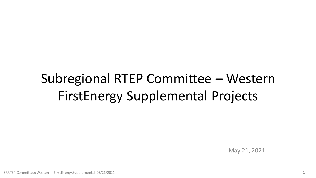# Subregional RTEP Committee – Western FirstEnergy Supplemental Projects

May 21, 2021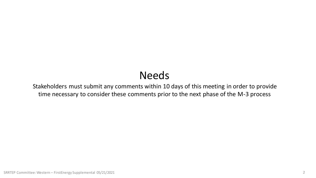### Needs

Stakeholders must submit any comments within 10 days of this meeting in order to provide time necessary to consider these comments prior to the next phase of the M-3 process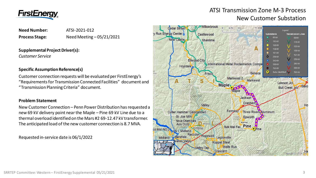

### ATSI Transmission Zone M-3 Process New Customer Substation

### **Need Number:** ATSI-2021-012 **Process Stage:** Need Meeting – 05/21/2021

#### **Supplemental Project Driver(s):**

*Customer Service*

#### **Specific Assumption Reference(s)**

Customer connection requests will be evaluated per FirstEnergy's "Requirements for Transmission Connected Facilities" document and "Transmission Planning Criteria" document.

#### **Problem Statement**

New Customer Connection – Penn Power Distribution has requested a new 69 kV delivery point near the Maple – Pine 69 kV Line due to a thermal overload identified on the Mars #2 69-12.47 kV transformer. The anticipated load of the new customer connection is 8.7 MVA.

Requested in-service date is 06/1/2022

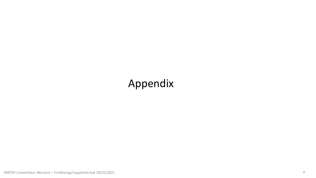### Appendix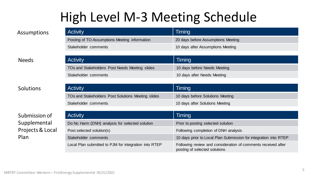## High Level M-3 Meeting Schedule

| Assumptions |
|-------------|
|-------------|

| <b>Activity</b>                               | Timing                             |
|-----------------------------------------------|------------------------------------|
| Posting of TO Assumptions Meeting information | 20 days before Assumptions Meeting |
| Stakeholder comments                          | 10 days after Assumptions Meeting  |

### Needs

### Solutions

### Submission of Supplemental Projects & Local Plan

| <b>UNIVERSITY OUTSITY</b>                      | To dayo anot <i>ri</i> ocalliptiono informig |
|------------------------------------------------|----------------------------------------------|
|                                                |                                              |
| <b>Activity</b>                                | Timing                                       |
| TOs and Stakeholders Post Needs Meeting slides | 10 days before Needs Meeting                 |
| Stakeholder comments                           | 10 days after Needs Meeting                  |

| <b>Activity</b>                                    | Timing                           |
|----------------------------------------------------|----------------------------------|
| TOs and Stakeholders Post Solutions Meeting slides | 10 days before Solutions Meeting |
| Stakeholder comments                               | 10 days after Solutions Meeting  |

| <b>Activity</b>                                       | Timing                                                                                         |
|-------------------------------------------------------|------------------------------------------------------------------------------------------------|
| Do No Harm (DNH) analysis for selected solution       | Prior to posting selected solution                                                             |
| Post selected solution(s)                             | Following completion of DNH analysis                                                           |
| Stakeholder comments                                  | 10 days prior to Local Plan Submission for integration into RTEP                               |
| Local Plan submitted to PJM for integration into RTEP | Following review and consideration of comments received after<br>posting of selected solutions |